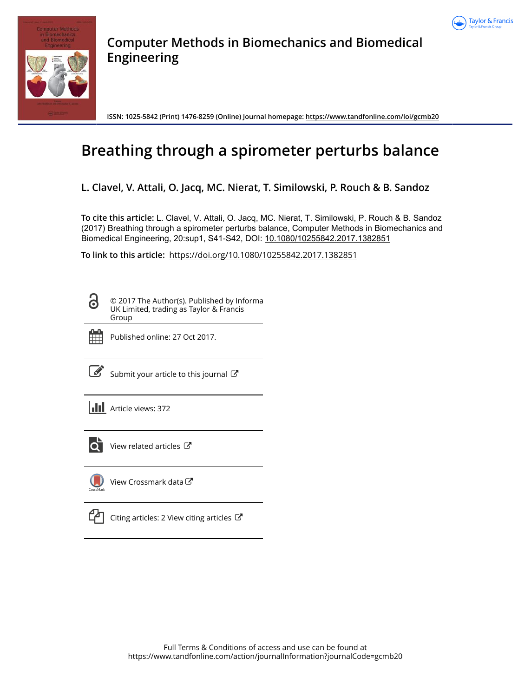



**Computer Methods in Biomechanics and Biomedical Engineering**

**ISSN: 1025-5842 (Print) 1476-8259 (Online) Journal homepage:<https://www.tandfonline.com/loi/gcmb20>**

# **Breathing through a spirometer perturbs balance**

**L. Clavel, V. Attali, O. Jacq, MC. Nierat, T. Similowski, P. Rouch & B. Sandoz**

**To cite this article:** L. Clavel, V. Attali, O. Jacq, MC. Nierat, T. Similowski, P. Rouch & B. Sandoz (2017) Breathing through a spirometer perturbs balance, Computer Methods in Biomechanics and Biomedical Engineering, 20:sup1, S41-S42, DOI: [10.1080/10255842.2017.1382851](https://www.tandfonline.com/action/showCitFormats?doi=10.1080/10255842.2017.1382851)

**To link to this article:** <https://doi.org/10.1080/10255842.2017.1382851>

© 2017 The Author(s). Published by Informa UK Limited, trading as Taylor & Francis Group



Q

Published online: 27 Oct 2017.

[Submit your article to this journal](https://www.tandfonline.com/action/authorSubmission?journalCode=gcmb20&show=instructions)  $\mathbb{Z}$ 

**III** Article views: 372



 $\overline{Q}$  [View related articles](https://www.tandfonline.com/doi/mlt/10.1080/10255842.2017.1382851)  $\overline{C}$ 



[View Crossmark data](http://crossmark.crossref.org/dialog/?doi=10.1080/10255842.2017.1382851&domain=pdf&date_stamp=2017-10-27)

|  | <sup>4</sup> Citing articles: 2 Vie |  |
|--|-------------------------------------|--|
|--|-------------------------------------|--|

ew citing articles  $\mathbb{Z}$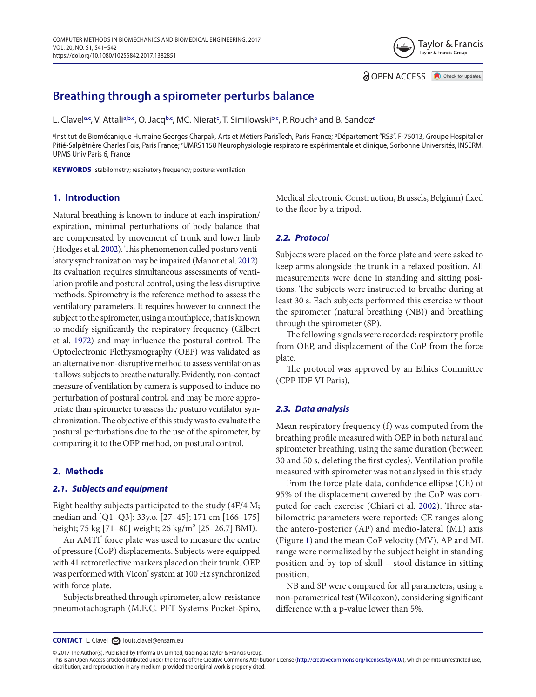# **Breathing through a spirometer perturbs balance**

L. Cl[a](#page-1-0)vel<sup>a[,c](#page-1-1)</sup>, V. Attali<sup>a[,b](#page-1-2),c</sup>, O. Jacq<sup>[b](#page-1-2),c</sup>, MC. Nierat<sup>c</sup>, T. Similowski<sup>b,c</sup>, P. Rouch<sup>a</sup> and B. Sandoz<sup>a</sup>

<span id="page-1-2"></span><span id="page-1-1"></span><span id="page-1-0"></span>ªInstitut de Biomécanique Humaine Georges Charpak, Arts et Métiers ParisTech, Paris France; <sup>b</sup>Département "RS3", F-75013, Groupe Hospitalier Pitié-Salpêtrière Charles Fois, Paris France; <sup>c</sup>UMRS1158 Neurophysiologie respiratoire expérimentale et clinique, Sorbonne Universités, INSERM, UPMS Univ Paris 6, France

KEYWORDS stabilometry; respiratory frequency; posture; ventilation

## **1. Introduction**

<span id="page-1-5"></span><span id="page-1-4"></span>Natural breathing is known to induce at each inspiration/ expiration, minimal perturbations of body balance that are compensated by movement of trunk and lower limb (Hodges et al. [2002](#page-2-0)). This phenomenon called posturo ventilatory synchronization may be impaired (Manor et al. [2012\)](#page-2-1). Its evaluation requires simultaneous assessments of ventilation profile and postural control, using the less disruptive methods. Spirometry is the reference method to assess the ventilatory parameters. It requires however to connect the subject to the spirometer, using a mouthpiece, that is known to modify significantly the respiratory frequency (Gilbert et al. [1972](#page-2-2)) and may influence the postural control. The Optoelectronic Plethysmography (OEP) was validated as an alternative non-disruptive method to assess ventilation as it allows subjects to breathe naturally. Evidently, non-contact measure of ventilation by camera is supposed to induce no perturbation of postural control, and may be more appropriate than spirometer to assess the posturo ventilator synchronization. The objective of this study was to evaluate the postural perturbations due to the use of the spirometer, by comparing it to the OEP method, on postural control.

#### **2. Methods**

#### *2.1. Subjects and equipment*

Eight healthy subjects participated to the study (4F/4 M; median and [Q1–Q3]: 33y.o. [27–45]; 171 cm [166–175] height; 75 kg [71–80] weight; 26 kg/m² [25–26.7] BMI).

An AMTI<sup>®</sup> force plate was used to measure the centre of pressure (CoP) displacements. Subjects were equipped with 41 retroreflective markers placed on their trunk. OEP was performed with Vicon<sup>®</sup> system at 100 Hz synchronized with force plate.

Subjects breathed through spirometer, a low-resistance pneumotachograph (M.E.C. PFT Systems Pocket-Spiro, Medical Electronic Construction, Brussels, Belgium) fixed to the floor by a tripod.

**OPEN ACCESS O** Check for updates

Taylor & Francis Tavlor & Francis Group

#### *2.2. Protocol*

<span id="page-1-6"></span>Subjects were placed on the force plate and were asked to keep arms alongside the trunk in a relaxed position. All measurements were done in standing and sitting positions. The subjects were instructed to breathe during at least 30 s. Each subjects performed this exercise without the spirometer (natural breathing (NB)) and breathing through the spirometer (SP).

The following signals were recorded: respiratory profile from OEP, and displacement of the CoP from the force plate.

The protocol was approved by an Ethics Committee (CPP IDF VI Paris),

#### *2.3. Data analysis*

Mean respiratory frequency (f) was computed from the breathing profile measured with OEP in both natural and spirometer breathing, using the same duration (between 30 and 50 s, deleting the first cycles). Ventilation profile measured with spirometer was not analysed in this study.

<span id="page-1-3"></span>From the force plate data, confidence ellipse (CE) of 95% of the displacement covered by the CoP was computed for each exercise (Chiari et al. [2002\)](#page-2-3). Three stabilometric parameters were reported: CE ranges along the antero-posterior (AP) and medio-lateral (ML) axis (Figure [1](#page-2-4)) and the mean CoP velocity (MV). AP and ML range were normalized by the subject height in standing position and by top of skull – stool distance in sitting position,

NB and SP were compared for all parameters, using a non-parametrical test (Wilcoxon), considering significant difference with a p-value lower than 5%.

**CONTACT** L. Clavel **and [louis.clavel@ensam.eu](mailto: louis.clavel@ensam.eu)** 

© 2017 The Author(s). Published by Informa UK Limited, trading as Taylor & Francis Group.

This is an Open Access article distributed under the terms of the Creative Commons Attribution License (<http://creativecommons.org/licenses/by/4.0/>), which permits unrestricted use, distribution, and reproduction in any medium, provided the original work is properly cited.